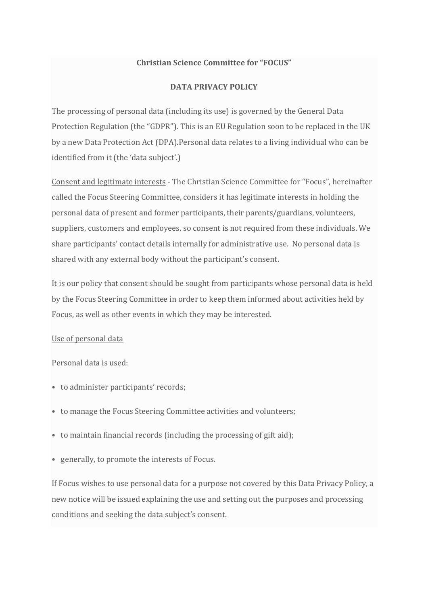## **Christian Science Committee for "FOCUS"**

## **DATA PRIVACY POLICY**

The processing of personal data (including its use) is governed by the General Data Protection Regulation (the "GDPR"). This is an EU Regulation soon to be replaced in the UK by a new Data Protection Act (DPA).Personal data relates to a living individual who can be identified from it (the 'data subject'.)

Consent and legitimate interests - The Christian Science Committee for "Focus", hereinafter called the Focus Steering Committee, considers it has legitimate interests in holding the personal data of present and former participants, their parents/guardians, volunteers, suppliers, customers and employees, so consent is not required from these individuals. We share participants' contact details internally for administrative use. No personal data is shared with any external body without the participant's consent.

It is our policy that consent should be sought from participants whose personal data is held by the Focus Steering Committee in order to keep them informed about activities held by Focus, as well as other events in which they may be interested.

## Use of personal data

Personal data is used:

- to administer participants' records;
- to manage the Focus Steering Committee activities and volunteers;
- to maintain financial records (including the processing of gift aid);
- generally, to promote the interests of Focus.

If Focus wishes to use personal data for a purpose not covered by this Data Privacy Policy, a new notice will be issued explaining the use and setting out the purposes and processing conditions and seeking the data subject's consent.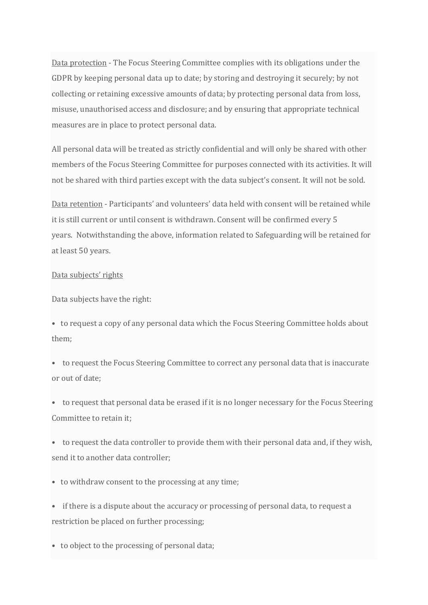Data protection - The Focus Steering Committee complies with its obligations under the GDPR by keeping personal data up to date; by storing and destroying it securely; by not collecting or retaining excessive amounts of data; by protecting personal data from loss, misuse, unauthorised access and disclosure; and by ensuring that appropriate technical measures are in place to protect personal data.

All personal data will be treated as strictly confidential and will only be shared with other members of the Focus Steering Committee for purposes connected with its activities. It will not be shared with third parties except with the data subject's consent. It will not be sold.

Data retention - Participants' and volunteers' data held with consent will be retained while it is still current or until consent is withdrawn. Consent will be confirmed every 5 years. Notwithstanding the above, information related to Safeguarding will be retained for at least 50 years.

## Data subjects' rights

Data subjects have the right:

• to request a copy of any personal data which the Focus Steering Committee holds about them;

• to request the Focus Steering Committee to correct any personal data that is inaccurate or out of date;

• to request that personal data be erased if it is no longer necessary for the Focus Steering Committee to retain it;

• to request the data controller to provide them with their personal data and, if they wish, send it to another data controller;

• to withdraw consent to the processing at any time;

• if there is a dispute about the accuracy or processing of personal data, to request a restriction be placed on further processing;

• to object to the processing of personal data;